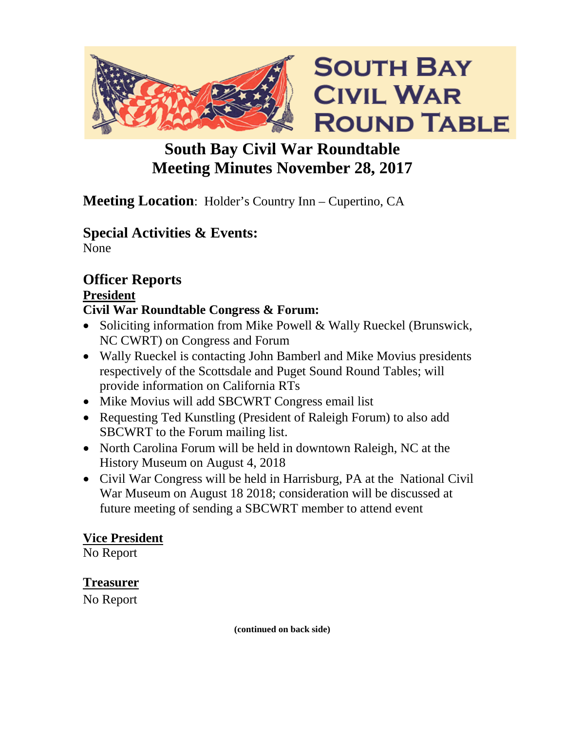

# **South Bay Civil War Roundtable Meeting Minutes November 28, 2017**

# **Meeting Location**: Holder's Country Inn – Cupertino, CA

# **Special Activities & Events:**

None

# **Officer Reports**

## **President**

# **Civil War Roundtable Congress & Forum:**

- Soliciting information from Mike Powell & Wally Rueckel (Brunswick, NC CWRT) on Congress and Forum
- Wally Rueckel is contacting John Bamberl and Mike Movius presidents respectively of the Scottsdale and Puget Sound Round Tables; will provide information on California RTs
- Mike Movius will add SBCWRT Congress email list
- Requesting Ted Kunstling (President of Raleigh Forum) to also add SBCWRT to the Forum mailing list.
- North Carolina Forum will be held in downtown Raleigh, NC at the History Museum on August 4, 2018
- Civil War Congress will be held in Harrisburg, PA at the National Civil War Museum on August 18 2018; consideration will be discussed at future meeting of sending a SBCWRT member to attend event

## **Vice President**

No Report

## **Treasurer**

No Report

**(continued on back side)**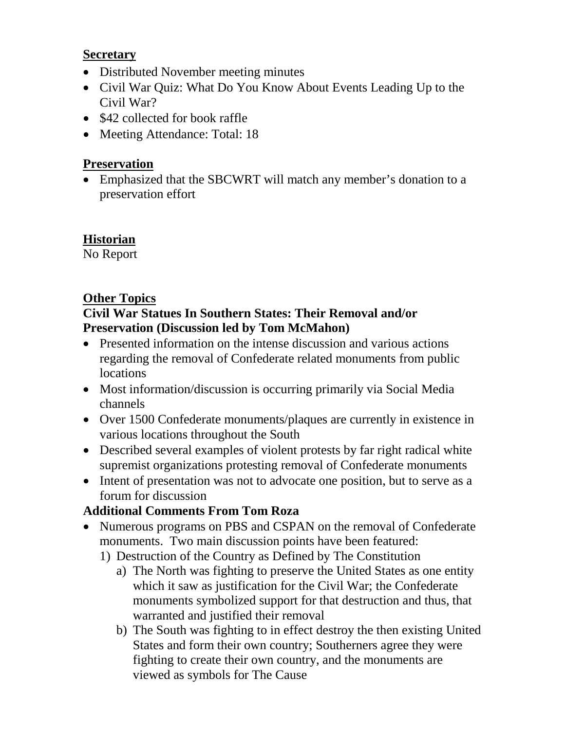#### **Secretary**

- Distributed November meeting minutes
- Civil War Quiz: What Do You Know About Events Leading Up to the Civil War?
- \$42 collected for book raffle
- Meeting Attendance: Total: 18

#### **Preservation**

• Emphasized that the SBCWRT will match any member's donation to a preservation effort

#### **Historian**

No Report

#### **Other Topics**

#### **Civil War Statues In Southern States: Their Removal and/or Preservation (Discussion led by Tom McMahon)**

- Presented information on the intense discussion and various actions regarding the removal of Confederate related monuments from public locations
- Most information/discussion is occurring primarily via Social Media channels
- Over 1500 Confederate monuments/plaques are currently in existence in various locations throughout the South
- Described several examples of violent protests by far right radical white supremist organizations protesting removal of Confederate monuments
- Intent of presentation was not to advocate one position, but to serve as a forum for discussion

#### **Additional Comments From Tom Roza**

- Numerous programs on PBS and CSPAN on the removal of Confederate monuments. Two main discussion points have been featured:
	- 1) Destruction of the Country as Defined by The Constitution
		- a) The North was fighting to preserve the United States as one entity which it saw as justification for the Civil War; the Confederate monuments symbolized support for that destruction and thus, that warranted and justified their removal
		- b) The South was fighting to in effect destroy the then existing United States and form their own country; Southerners agree they were fighting to create their own country, and the monuments are viewed as symbols for The Cause